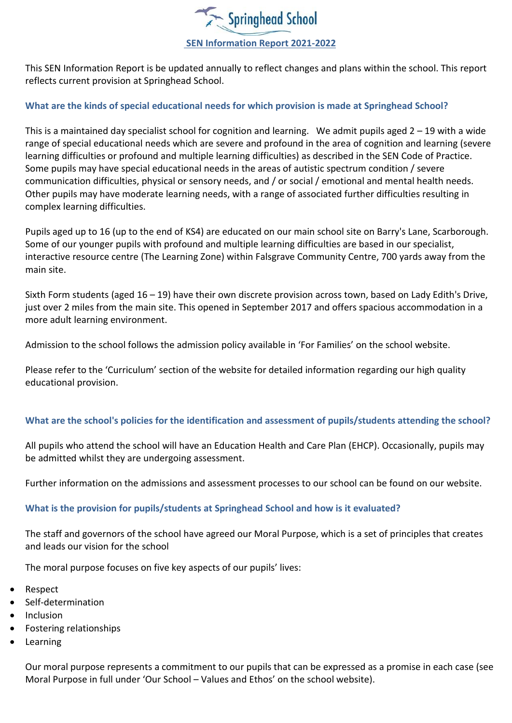

This SEN Information Report is be updated annually to reflect changes and plans within the school. This report reflects current provision at Springhead School.

### **What are the kinds of special educational needs for which provision is made at Springhead School?**

This is a maintained day specialist school for cognition and learning. We admit pupils aged 2 – 19 with a wide range of special educational needs which are severe and profound in the area of cognition and learning (severe learning difficulties or profound and multiple learning difficulties) as described in the SEN Code of Practice. Some pupils may have special educational needs in the areas of autistic spectrum condition / severe communication difficulties, physical or sensory needs, and / or social / emotional and mental health needs. Other pupils may have moderate learning needs, with a range of associated further difficulties resulting in complex learning difficulties.

Pupils aged up to 16 (up to the end of KS4) are educated on our main school site on Barry's Lane, Scarborough. Some of our younger pupils with profound and multiple learning difficulties are based in our specialist, interactive resource centre (The Learning Zone) within Falsgrave Community Centre, 700 yards away from the main site.

Sixth Form students (aged 16 – 19) have their own discrete provision across town, based on Lady Edith's Drive, just over 2 miles from the main site. This opened in September 2017 and offers spacious accommodation in a more adult learning environment.

Admission to the school follows the admission policy available in 'For Families' on the school website.

Please refer to the 'Curriculum' section of the website for detailed information regarding our high quality educational provision.

# **What are the school's policies for the identification and assessment of pupils/students attending the school?**

All pupils who attend the school will have an Education Health and Care Plan (EHCP). Occasionally, pupils may be admitted whilst they are undergoing assessment.

Further information on the admissions and assessment processes to our school can be found on our website.

### **What is the provision for pupils/students at Springhead School and how is it evaluated?**

The staff and governors of the school have agreed our Moral Purpose, which is a set of principles that creates and leads our vision for the school

The moral purpose focuses on five key aspects of our pupils' lives:

- Respect
- Self-determination
- Inclusion
- Fostering relationships
- Learning

Our moral purpose represents a commitment to our pupils that can be expressed as a promise in each case (see Moral Purpose in full under 'Our School – Values and Ethos' on the school website).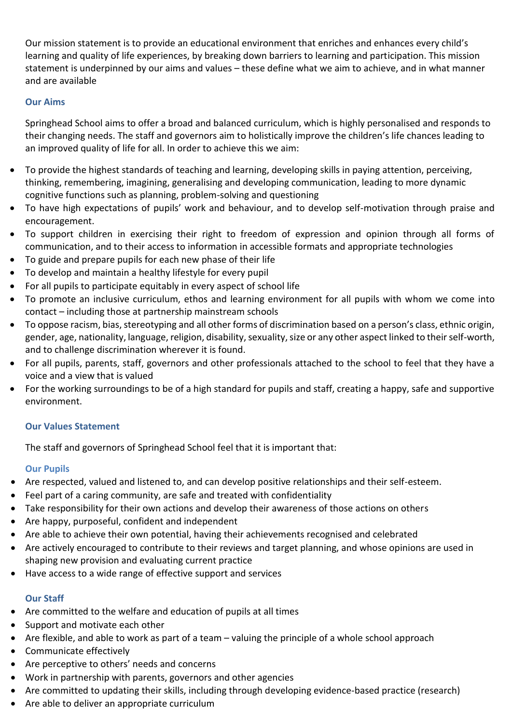Our mission statement is to provide an educational environment that enriches and enhances every child's learning and quality of life experiences, by breaking down barriers to learning and participation. This mission statement is underpinned by our aims and values – these define what we aim to achieve, and in what manner and are available

### **Our Aims**

Springhead School aims to offer a broad and balanced curriculum, which is highly personalised and responds to their changing needs. The staff and governors aim to holistically improve the children's life chances leading to an improved quality of life for all. In order to achieve this we aim:

- To provide the highest standards of teaching and learning, developing skills in paying attention, perceiving, thinking, remembering, imagining, generalising and developing communication, leading to more dynamic cognitive functions such as planning, problem-solving and questioning
- To have high expectations of pupils' work and behaviour, and to develop self-motivation through praise and encouragement.
- To support children in exercising their right to freedom of expression and opinion through all forms of communication, and to their access to information in accessible formats and appropriate technologies
- To guide and prepare pupils for each new phase of their life
- To develop and maintain a healthy lifestyle for every pupil
- For all pupils to participate equitably in every aspect of school life
- To promote an inclusive curriculum, ethos and learning environment for all pupils with whom we come into contact – including those at partnership mainstream schools
- To oppose racism, bias, stereotyping and all other forms of discrimination based on a person's class, ethnic origin, gender, age, nationality, language, religion, disability, sexuality, size or any other aspect linked to their self-worth, and to challenge discrimination wherever it is found.
- For all pupils, parents, staff, governors and other professionals attached to the school to feel that they have a voice and a view that is valued
- For the working surroundings to be of a high standard for pupils and staff, creating a happy, safe and supportive environment.

# **Our Values Statement**

The staff and governors of Springhead School feel that it is important that:

### **Our Pupils**

- Are respected, valued and listened to, and can develop positive relationships and their self-esteem.
- Feel part of a caring community, are safe and treated with confidentiality
- Take responsibility for their own actions and develop their awareness of those actions on others
- Are happy, purposeful, confident and independent
- Are able to achieve their own potential, having their achievements recognised and celebrated
- Are actively encouraged to contribute to their reviews and target planning, and whose opinions are used in shaping new provision and evaluating current practice
- Have access to a wide range of effective support and services

# **Our Staff**

- Are committed to the welfare and education of pupils at all times
- Support and motivate each other
- Are flexible, and able to work as part of a team valuing the principle of a whole school approach
- Communicate effectively
- Are perceptive to others' needs and concerns
- Work in partnership with parents, governors and other agencies
- Are committed to updating their skills, including through developing evidence-based practice (research)
- Are able to deliver an appropriate curriculum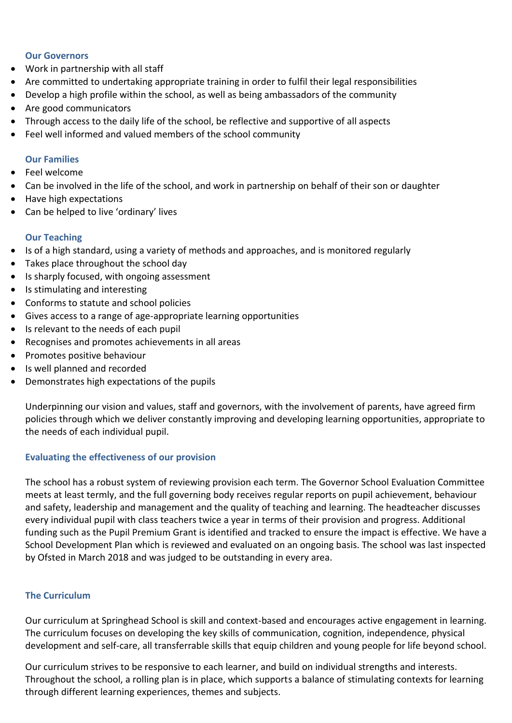#### **Our Governors**

- Work in partnership with all staff
- Are committed to undertaking appropriate training in order to fulfil their legal responsibilities
- Develop a high profile within the school, as well as being ambassadors of the community
- Are good communicators
- Through access to the daily life of the school, be reflective and supportive of all aspects
- Feel well informed and valued members of the school community

### **Our Families**

- Feel welcome
- Can be involved in the life of the school, and work in partnership on behalf of their son or daughter
- Have high expectations
- Can be helped to live 'ordinary' lives

### **Our Teaching**

- Is of a high standard, using a variety of methods and approaches, and is monitored regularly
- Takes place throughout the school day
- Is sharply focused, with ongoing assessment
- Is stimulating and interesting
- Conforms to statute and school policies
- Gives access to a range of age-appropriate learning opportunities
- Is relevant to the needs of each pupil
- Recognises and promotes achievements in all areas
- Promotes positive behaviour
- Is well planned and recorded
- Demonstrates high expectations of the pupils

Underpinning our vision and values, staff and governors, with the involvement of parents, have agreed firm policies through which we deliver constantly improving and developing learning opportunities, appropriate to the needs of each individual pupil.

### **Evaluating the effectiveness of our provision**

The school has a robust system of reviewing provision each term. The Governor School Evaluation Committee meets at least termly, and the full governing body receives regular reports on pupil achievement, behaviour and safety, leadership and management and the quality of teaching and learning. The headteacher discusses every individual pupil with class teachers twice a year in terms of their provision and progress. Additional funding such as the Pupil Premium Grant is identified and tracked to ensure the impact is effective. We have a School Development Plan which is reviewed and evaluated on an ongoing basis. The school was last inspected by Ofsted in March 2018 and was judged to be outstanding in every area.

### **The Curriculum**

Our curriculum at Springhead School is skill and context-based and encourages active engagement in learning. The curriculum focuses on developing the key skills of communication, cognition, independence, physical development and self-care, all transferrable skills that equip children and young people for life beyond school.

Our curriculum strives to be responsive to each learner, and build on individual strengths and interests. Throughout the school, a rolling plan is in place, which supports a balance of stimulating contexts for learning through different learning experiences, themes and subjects.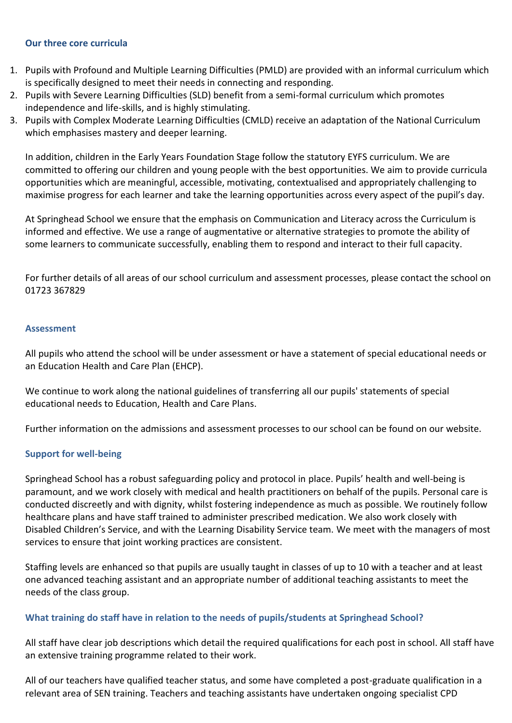#### **Our three core curricula**

- 1. Pupils with Profound and Multiple Learning Difficulties (PMLD) are provided with an informal curriculum which is specifically designed to meet their needs in connecting and responding.
- 2. Pupils with Severe Learning Difficulties (SLD) benefit from a semi-formal curriculum which promotes independence and life-skills, and is highly stimulating.
- 3. Pupils with Complex Moderate Learning Difficulties (CMLD) receive an adaptation of the National Curriculum which emphasises mastery and deeper learning.

In addition, children in the Early Years Foundation Stage follow the statutory EYFS curriculum. We are committed to offering our children and young people with the best opportunities. We aim to provide curricula opportunities which are meaningful, accessible, motivating, contextualised and appropriately challenging to maximise progress for each learner and take the learning opportunities across every aspect of the pupil's day.

At Springhead School we ensure that the emphasis on Communication and Literacy across the Curriculum is informed and effective. We use a range of augmentative or alternative strategies to promote the ability of some learners to communicate successfully, enabling them to respond and interact to their full capacity.

For further details of all areas of our school curriculum and assessment processes, please contact the school on 01723 367829

#### **Assessment**

All pupils who attend the school will be under assessment or have a statement of special educational needs or an Education Health and Care Plan (EHCP).

We continue to work along the national guidelines of transferring all our pupils' statements of special educational needs to Education, Health and Care Plans.

Further information on the admissions and assessment processes to our school can be found on our website.

### **Support for well-being**

Springhead School has a robust safeguarding policy and protocol in place. Pupils' health and well-being is paramount, and we work closely with medical and health practitioners on behalf of the pupils. Personal care is conducted discreetly and with dignity, whilst fostering independence as much as possible. We routinely follow healthcare plans and have staff trained to administer prescribed medication. We also work closely with Disabled Children's Service, and with the Learning Disability Service team. We meet with the managers of most services to ensure that joint working practices are consistent.

Staffing levels are enhanced so that pupils are usually taught in classes of up to 10 with a teacher and at least one advanced teaching assistant and an appropriate number of additional teaching assistants to meet the needs of the class group.

### **What training do staff have in relation to the needs of pupils/students at Springhead School?**

All staff have clear job descriptions which detail the required qualifications for each post in school. All staff have an extensive training programme related to their work.

All of our teachers have qualified teacher status, and some have completed a post-graduate qualification in a relevant area of SEN training. Teachers and teaching assistants have undertaken ongoing specialist CPD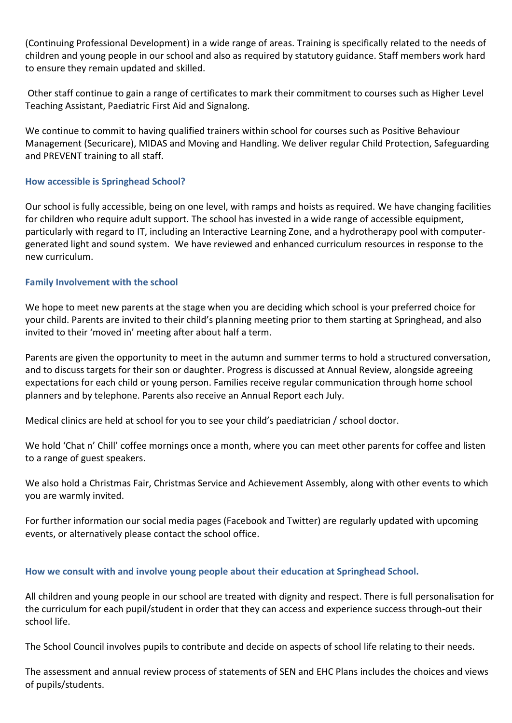(Continuing Professional Development) in a wide range of areas. Training is specifically related to the needs of children and young people in our school and also as required by statutory guidance. Staff members work hard to ensure they remain updated and skilled.

Other staff continue to gain a range of certificates to mark their commitment to courses such as Higher Level Teaching Assistant, Paediatric First Aid and Signalong.

We continue to commit to having qualified trainers within school for courses such as Positive Behaviour Management (Securicare), MIDAS and Moving and Handling. We deliver regular Child Protection, Safeguarding and PREVENT training to all staff.

### **How accessible is Springhead School?**

Our school is fully accessible, being on one level, with ramps and hoists as required. We have changing facilities for children who require adult support. The school has invested in a wide range of accessible equipment, particularly with regard to IT, including an Interactive Learning Zone, and a hydrotherapy pool with computergenerated light and sound system. We have reviewed and enhanced curriculum resources in response to the new curriculum.

# **Family Involvement with the school**

We hope to meet new parents at the stage when you are deciding which school is your preferred choice for your child. Parents are invited to their child's planning meeting prior to them starting at Springhead, and also invited to their 'moved in' meeting after about half a term.

Parents are given the opportunity to meet in the autumn and summer terms to hold a structured conversation, and to discuss targets for their son or daughter. Progress is discussed at Annual Review, alongside agreeing expectations for each child or young person. Families receive regular communication through home school planners and by telephone. Parents also receive an Annual Report each July.

Medical clinics are held at school for you to see your child's paediatrician / school doctor.

We hold 'Chat n' Chill' coffee mornings once a month, where you can meet other parents for coffee and listen to a range of guest speakers.

We also hold a Christmas Fair, Christmas Service and Achievement Assembly, along with other events to which you are warmly invited.

For further information our social media pages (Facebook and Twitter) are regularly updated with upcoming events, or alternatively please contact the school office.

# **How we consult with and involve young people about their education at Springhead School.**

All children and young people in our school are treated with dignity and respect. There is full personalisation for the curriculum for each pupil/student in order that they can access and experience success through-out their school life.

The School Council involves pupils to contribute and decide on aspects of school life relating to their needs.

The assessment and annual review process of statements of SEN and EHC Plans includes the choices and views of pupils/students.